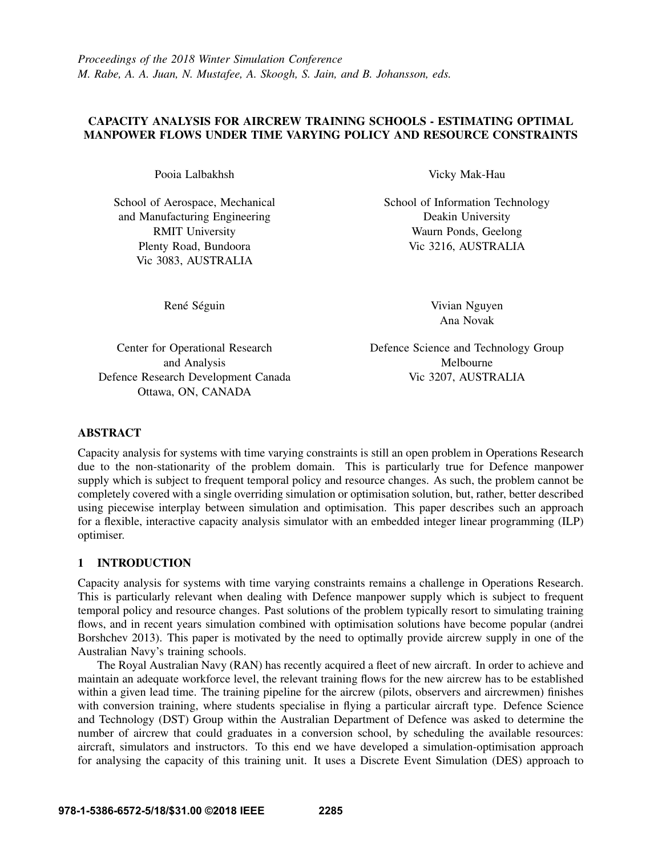# CAPACITY ANALYSIS FOR AIRCREW TRAINING SCHOOLS - ESTIMATING OPTIMAL MANPOWER FLOWS UNDER TIME VARYING POLICY AND RESOURCE CONSTRAINTS

Pooia Lalbakhsh

School of Aerospace, Mechanical and Manufacturing Engineering RMIT University Plenty Road, Bundoora Vic 3083, AUSTRALIA

Vicky Mak-Hau

School of Information Technology Deakin University Waurn Ponds, Geelong Vic 3216, AUSTRALIA

René Séguin

Vivian Nguyen Ana Novak

Center for Operational Research and Analysis Defence Research Development Canada Ottawa, ON, CANADA

Defence Science and Technology Group Melbourne Vic 3207, AUSTRALIA

# ABSTRACT

Capacity analysis for systems with time varying constraints is still an open problem in Operations Research due to the non-stationarity of the problem domain. This is particularly true for Defence manpower supply which is subject to frequent temporal policy and resource changes. As such, the problem cannot be completely covered with a single overriding simulation or optimisation solution, but, rather, better described using piecewise interplay between simulation and optimisation. This paper describes such an approach for a flexible, interactive capacity analysis simulator with an embedded integer linear programming (ILP) optimiser.

# 1 INTRODUCTION

Capacity analysis for systems with time varying constraints remains a challenge in Operations Research. This is particularly relevant when dealing with Defence manpower supply which is subject to frequent temporal policy and resource changes. Past solutions of the problem typically resort to simulating training flows, and in recent years simulation combined with optimisation solutions have become popular (andrei Borshchev 2013). This paper is motivated by the need to optimally provide aircrew supply in one of the Australian Navy's training schools.

The Royal Australian Navy (RAN) has recently acquired a fleet of new aircraft. In order to achieve and maintain an adequate workforce level, the relevant training flows for the new aircrew has to be established within a given lead time. The training pipeline for the aircrew (pilots, observers and aircrewmen) finishes with conversion training, where students specialise in flying a particular aircraft type. Defence Science and Technology (DST) Group within the Australian Department of Defence was asked to determine the number of aircrew that could graduates in a conversion school, by scheduling the available resources: aircraft, simulators and instructors. To this end we have developed a simulation-optimisation approach for analysing the capacity of this training unit. It uses a Discrete Event Simulation (DES) approach to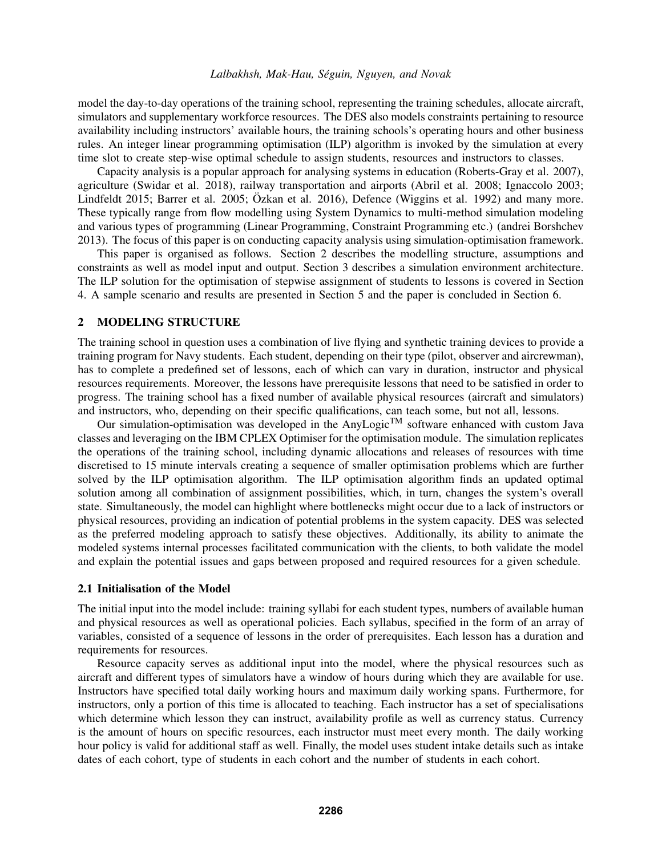model the day-to-day operations of the training school, representing the training schedules, allocate aircraft, simulators and supplementary workforce resources. The DES also models constraints pertaining to resource availability including instructors' available hours, the training schools's operating hours and other business rules. An integer linear programming optimisation (ILP) algorithm is invoked by the simulation at every time slot to create step-wise optimal schedule to assign students, resources and instructors to classes.

Capacity analysis is a popular approach for analysing systems in education (Roberts-Gray et al. 2007), agriculture (Swidar et al. 2018), railway transportation and airports (Abril et al. 2008; Ignaccolo 2003; Lindfeldt 2015; Barrer et al. 2005; Özkan et al. 2016), Defence (Wiggins et al. 1992) and many more. These typically range from flow modelling using System Dynamics to multi-method simulation modeling and various types of programming (Linear Programming, Constraint Programming etc.) (andrei Borshchev 2013). The focus of this paper is on conducting capacity analysis using simulation-optimisation framework.

This paper is organised as follows. Section 2 describes the modelling structure, assumptions and constraints as well as model input and output. Section 3 describes a simulation environment architecture. The ILP solution for the optimisation of stepwise assignment of students to lessons is covered in Section 4. A sample scenario and results are presented in Section 5 and the paper is concluded in Section 6.

#### 2 MODELING STRUCTURE

The training school in question uses a combination of live flying and synthetic training devices to provide a training program for Navy students. Each student, depending on their type (pilot, observer and aircrewman), has to complete a predefined set of lessons, each of which can vary in duration, instructor and physical resources requirements. Moreover, the lessons have prerequisite lessons that need to be satisfied in order to progress. The training school has a fixed number of available physical resources (aircraft and simulators) and instructors, who, depending on their specific qualifications, can teach some, but not all, lessons.

Our simulation-optimisation was developed in the AnyLogic<sup>TM</sup> software enhanced with custom Java classes and leveraging on the IBM CPLEX Optimiser for the optimisation module. The simulation replicates the operations of the training school, including dynamic allocations and releases of resources with time discretised to 15 minute intervals creating a sequence of smaller optimisation problems which are further solved by the ILP optimisation algorithm. The ILP optimisation algorithm finds an updated optimal solution among all combination of assignment possibilities, which, in turn, changes the system's overall state. Simultaneously, the model can highlight where bottlenecks might occur due to a lack of instructors or physical resources, providing an indication of potential problems in the system capacity. DES was selected as the preferred modeling approach to satisfy these objectives. Additionally, its ability to animate the modeled systems internal processes facilitated communication with the clients, to both validate the model and explain the potential issues and gaps between proposed and required resources for a given schedule.

#### 2.1 Initialisation of the Model

The initial input into the model include: training syllabi for each student types, numbers of available human and physical resources as well as operational policies. Each syllabus, specified in the form of an array of variables, consisted of a sequence of lessons in the order of prerequisites. Each lesson has a duration and requirements for resources.

Resource capacity serves as additional input into the model, where the physical resources such as aircraft and different types of simulators have a window of hours during which they are available for use. Instructors have specified total daily working hours and maximum daily working spans. Furthermore, for instructors, only a portion of this time is allocated to teaching. Each instructor has a set of specialisations which determine which lesson they can instruct, availability profile as well as currency status. Currency is the amount of hours on specific resources, each instructor must meet every month. The daily working hour policy is valid for additional staff as well. Finally, the model uses student intake details such as intake dates of each cohort, type of students in each cohort and the number of students in each cohort.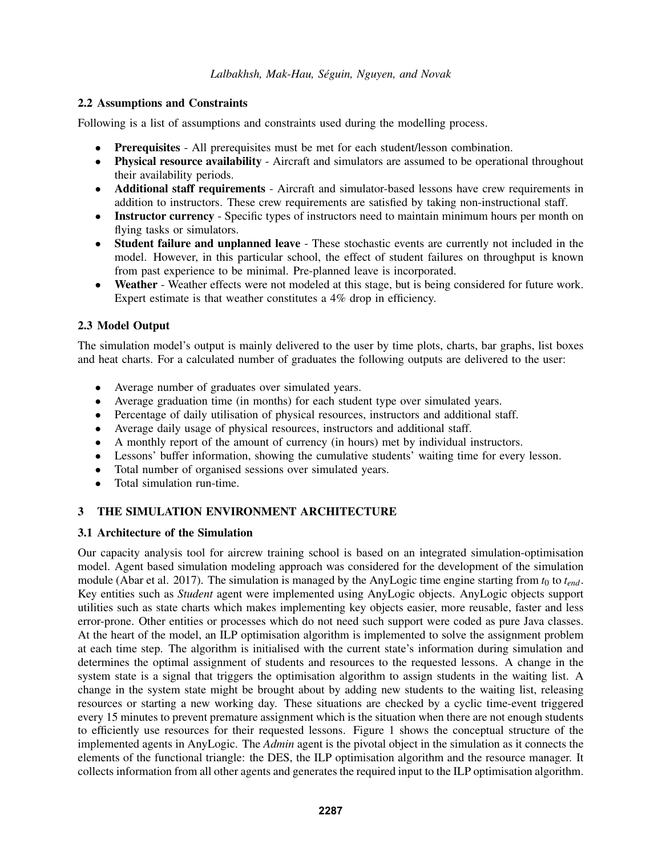# 2.2 Assumptions and Constraints

Following is a list of assumptions and constraints used during the modelling process.

- Prerequisites All prerequisites must be met for each student/lesson combination.
- Physical resource availability Aircraft and simulators are assumed to be operational throughout their availability periods.
- Additional staff requirements Aircraft and simulator-based lessons have crew requirements in addition to instructors. These crew requirements are satisfied by taking non-instructional staff.
- Instructor currency Specific types of instructors need to maintain minimum hours per month on flying tasks or simulators.
- Student failure and unplanned leave These stochastic events are currently not included in the model. However, in this particular school, the effect of student failures on throughput is known from past experience to be minimal. Pre-planned leave is incorporated.
- Weather Weather effects were not modeled at this stage, but is being considered for future work. Expert estimate is that weather constitutes a 4% drop in efficiency.

# 2.3 Model Output

The simulation model's output is mainly delivered to the user by time plots, charts, bar graphs, list boxes and heat charts. For a calculated number of graduates the following outputs are delivered to the user:

- Average number of graduates over simulated years.
- Average graduation time (in months) for each student type over simulated years.
- Percentage of daily utilisation of physical resources, instructors and additional staff.
- Average daily usage of physical resources, instructors and additional staff.
- A monthly report of the amount of currency (in hours) met by individual instructors.
- Lessons' buffer information, showing the cumulative students' waiting time for every lesson.
- Total number of organised sessions over simulated years.
- Total simulation run-time.

# 3 THE SIMULATION ENVIRONMENT ARCHITECTURE

# 3.1 Architecture of the Simulation

Our capacity analysis tool for aircrew training school is based on an integrated simulation-optimisation model. Agent based simulation modeling approach was considered for the development of the simulation module (Abar et al. 2017). The simulation is managed by the AnyLogic time engine starting from  $t_0$  to  $t_{end}$ . Key entities such as *Student* agent were implemented using AnyLogic objects. AnyLogic objects support utilities such as state charts which makes implementing key objects easier, more reusable, faster and less error-prone. Other entities or processes which do not need such support were coded as pure Java classes. At the heart of the model, an ILP optimisation algorithm is implemented to solve the assignment problem at each time step. The algorithm is initialised with the current state's information during simulation and determines the optimal assignment of students and resources to the requested lessons. A change in the system state is a signal that triggers the optimisation algorithm to assign students in the waiting list. A change in the system state might be brought about by adding new students to the waiting list, releasing resources or starting a new working day. These situations are checked by a cyclic time-event triggered every 15 minutes to prevent premature assignment which is the situation when there are not enough students to efficiently use resources for their requested lessons. Figure 1 shows the conceptual structure of the implemented agents in AnyLogic. The *Admin* agent is the pivotal object in the simulation as it connects the elements of the functional triangle: the DES, the ILP optimisation algorithm and the resource manager. It collects information from all other agents and generates the required input to the ILP optimisation algorithm.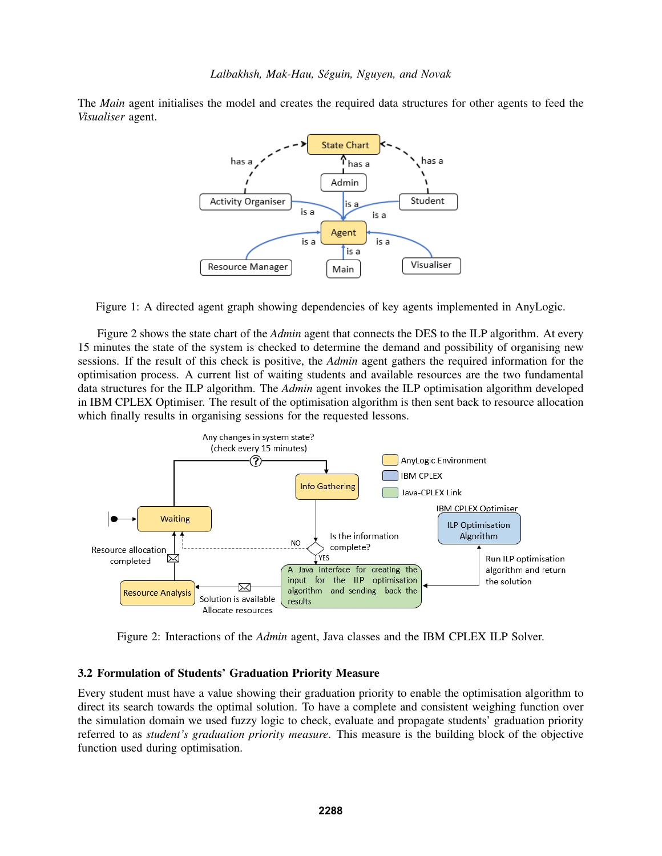The *Main* agent initialises the model and creates the required data structures for other agents to feed the *Visualiser* agent.



Figure 1: A directed agent graph showing dependencies of key agents implemented in AnyLogic.

Figure 2 shows the state chart of the *Admin* agent that connects the DES to the ILP algorithm. At every 15 minutes the state of the system is checked to determine the demand and possibility of organising new sessions. If the result of this check is positive, the *Admin* agent gathers the required information for the optimisation process. A current list of waiting students and available resources are the two fundamental data structures for the ILP algorithm. The *Admin* agent invokes the ILP optimisation algorithm developed in IBM CPLEX Optimiser. The result of the optimisation algorithm is then sent back to resource allocation which finally results in organising sessions for the requested lessons.



Figure 2: Interactions of the *Admin* agent, Java classes and the IBM CPLEX ILP Solver.

#### 3.2 Formulation of Students' Graduation Priority Measure

Every student must have a value showing their graduation priority to enable the optimisation algorithm to direct its search towards the optimal solution. To have a complete and consistent weighing function over the simulation domain we used fuzzy logic to check, evaluate and propagate students' graduation priority referred to as *student's graduation priority measure*. This measure is the building block of the objective function used during optimisation.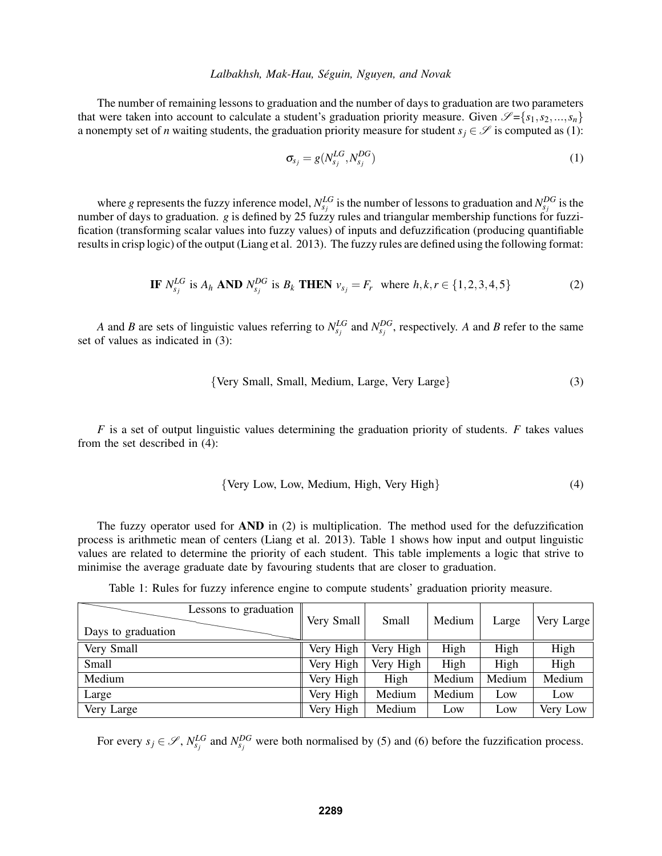The number of remaining lessons to graduation and the number of days to graduation are two parameters that were taken into account to calculate a student's graduation priority measure. Given  $\mathscr{S} = \{s_1, s_2, ..., s_n\}$ a nonempty set of *n* waiting students, the graduation priority measure for student  $s_i \in \mathcal{S}$  is computed as (1):

$$
\sigma_{s_j} = g(N_{s_j}^{LG}, N_{s_j}^{DG})
$$
\n(1)

where *g* represents the fuzzy inference model,  $N_{s_j}^{LG}$  is the number of lessons to graduation and  $N_{s_j}^{DG}$  is the number of days to graduation. *g* is defined by 25 fuzzy rules and triangular membership functions for fuzzification (transforming scalar values into fuzzy values) of inputs and defuzzification (producing quantifiable results in crisp logic) of the output (Liang et al. 2013). The fuzzy rules are defined using the following format:

**IF** 
$$
N_{s_j}^{LG}
$$
 is  $A_h$  **AND**  $N_{s_j}^{DG}$  is  $B_k$  **THEN**  $v_{s_j} = F_r$  where  $h, k, r \in \{1, 2, 3, 4, 5\}$  (2)

*A* and *B* are sets of linguistic values referring to  $N_{s_j}^{LG}$  and  $N_{s_j}^{DG}$ , respectively. *A* and *B* refer to the same set of values as indicated in (3):

$$
{\text{Very Small, Small, Medium, Large, Very Large}} \tag{3}
$$

*F* is a set of output linguistic values determining the graduation priority of students. *F* takes values from the set described in (4):

$$
{\text{Very Low, Low, Medium, High, Very High}} \tag{4}
$$

The fuzzy operator used for  $AND$  in (2) is multiplication. The method used for the defuzzification process is arithmetic mean of centers (Liang et al. 2013). Table 1 shows how input and output linguistic values are related to determine the priority of each student. This table implements a logic that strive to minimise the average graduate date by favouring students that are closer to graduation.

Table 1: Rules for fuzzy inference engine to compute students' graduation priority measure.

| Lessons to graduation<br>Days to graduation | Very Small | Small     | Medium | Large  | Very Large |
|---------------------------------------------|------------|-----------|--------|--------|------------|
| Very Small                                  | Very High  | Very High | High   | High   | High       |
| Small                                       | Very High  | Very High | High   | High   | High       |
| Medium                                      | Very High  | High      | Medium | Medium | Medium     |
| Large                                       | Very High  | Medium    | Medium | Low    | Low        |
| Very Large                                  | Very High  | Medium    | Low    | Low    | Very Low   |

For every  $s_j \in \mathscr{S}$ ,  $N_{s_j}^{LG}$  and  $N_{s_j}^{DG}$  were both normalised by (5) and (6) before the fuzzification process.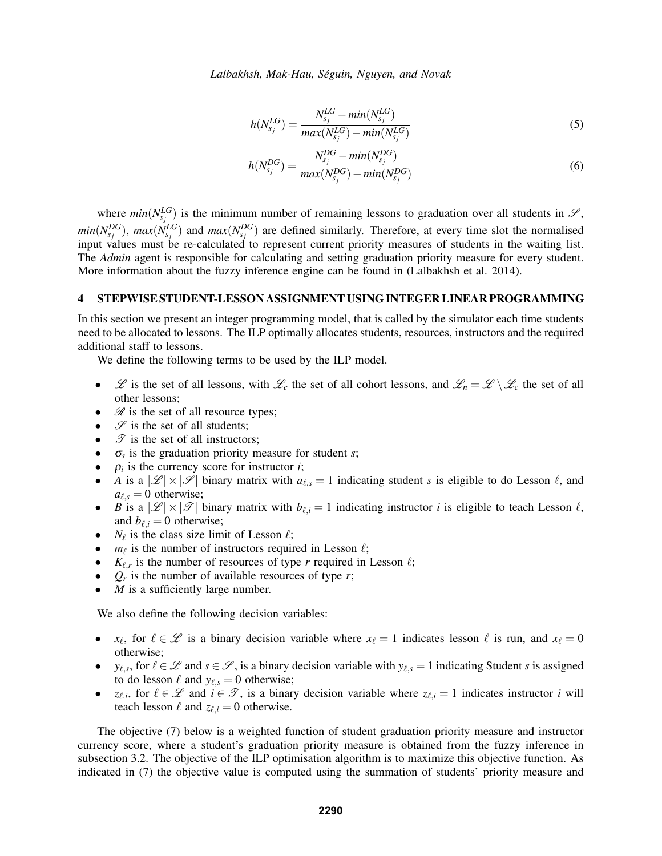$$
h(N_{s_j}^{LG}) = \frac{N_{s_j}^{LG} - min(N_{s_j}^{LG})}{max(N_{s_j}^{LG}) - min(N_{s_j}^{LG})}
$$
\n(5)

$$
h(N_{s_j}^{DG}) = \frac{N_{s_j}^{DG} - min(N_{s_j}^{DG})}{max(N_{s_j}^{DG}) - min(N_{s_j}^{DG})}
$$
(6)

where  $min(N_{s_j}^{LG})$  is the minimum number of remaining lessons to graduation over all students in  $\mathscr{S}$ ,  $min(N_{s_j}^{DG})$ ,  $max(N_{s_j}^{LG})$  and  $max(N_{s_j}^{DG})$  are defined similarly. Therefore, at every time slot the normalised input values must be re-calculated to represent current priority measures of students in the waiting list. The *Admin* agent is responsible for calculating and setting graduation priority measure for every student. More information about the fuzzy inference engine can be found in (Lalbakhsh et al. 2014).

#### 4 STEPWISE STUDENT-LESSON ASSIGNMENT USING INTEGER LINEAR PROGRAMMING

In this section we present an integer programming model, that is called by the simulator each time students need to be allocated to lessons. The ILP optimally allocates students, resources, instructors and the required additional staff to lessons.

We define the following terms to be used by the ILP model.

- $\mathscr L$  is the set of all lessons, with  $\mathscr L_c$  the set of all cohort lessons, and  $\mathscr L_n = \mathscr L \setminus \mathscr L_c$  the set of all other lessons;
- $\mathcal{R}$  is the set of all resource types;
- $\mathscr S$  is the set of all students;
- $\mathscr{T}$  is the set of all instructors;
- σ*<sup>s</sup>* is the graduation priority measure for student *s*;
- $\rho_i$  is the currency score for instructor *i*;
- *A* is a  $|\mathscr{L}| \times |\mathscr{S}|$  binary matrix with  $a_{\ell,s} = 1$  indicating student *s* is eligible to do Lesson  $\ell$ , and  $a_{\ell,s} = 0$  otherwise;
- *B* is a  $|\mathscr{L}| \times |\mathscr{T}|$  binary matrix with  $b_{\ell,i} = 1$  indicating instructor *i* is eligible to teach Lesson  $\ell$ , and  $b_{\ell,i} = 0$  otherwise;
- $N_{\ell}$  is the class size limit of Lesson  $\ell$ ;
- $m_{\ell}$  is the number of instructors required in Lesson  $\ell$ ;
- $K_{\ell,r}$  is the number of resources of type *r* required in Lesson  $\ell$ ;
- $Q_r$  is the number of available resources of type *r*;
- *M* is a sufficiently large number.

We also define the following decision variables:

- *x*<sub> $\ell$ </sub>, for  $\ell \in \mathcal{L}$  is a binary decision variable where  $x_{\ell} = 1$  indicates lesson  $\ell$  is run, and  $x_{\ell} = 0$ otherwise;
- *y*<sub> $\ell,s$ </sub>, for  $\ell \in \mathcal{L}$  and  $s \in \mathcal{S}$ , is a binary decision variable with  $y_{\ell,s} = 1$  indicating Student *s* is assigned to do lesson  $\ell$  and  $y_{\ell,s} = 0$  otherwise;
- *z*<sub> $\ell$ ,*i*</sub>, for  $\ell \in \mathcal{L}$  and  $i \in \mathcal{T}$ , is a binary decision variable where  $z_{\ell,i} = 1$  indicates instructor *i* will teach lesson  $\ell$  and  $z_{\ell,i} = 0$  otherwise.

The objective (7) below is a weighted function of student graduation priority measure and instructor currency score, where a student's graduation priority measure is obtained from the fuzzy inference in subsection 3.2. The objective of the ILP optimisation algorithm is to maximize this objective function. As indicated in (7) the objective value is computed using the summation of students' priority measure and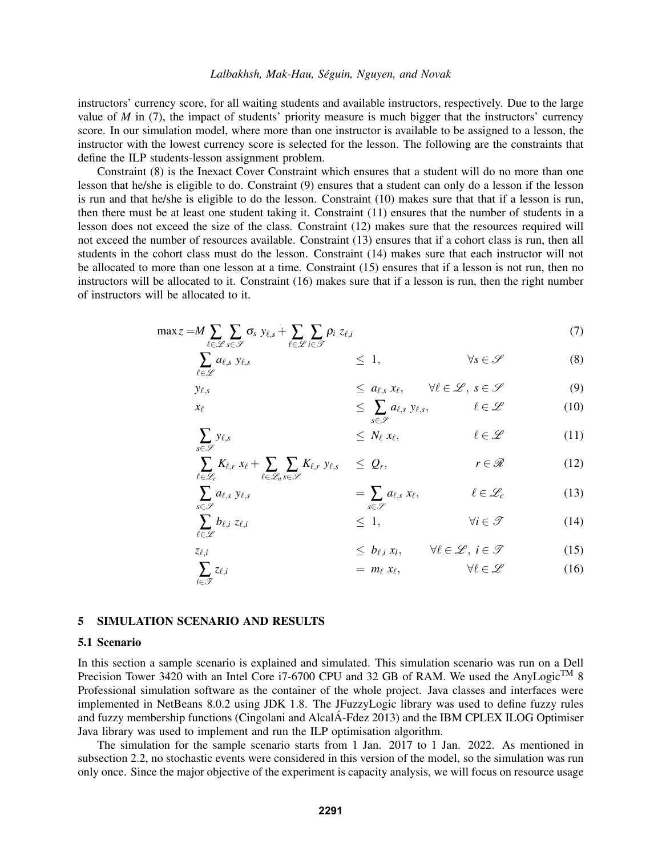instructors' currency score, for all waiting students and available instructors, respectively. Due to the large value of *M* in (7), the impact of students' priority measure is much bigger that the instructors' currency score. In our simulation model, where more than one instructor is available to be assigned to a lesson, the instructor with the lowest currency score is selected for the lesson. The following are the constraints that define the ILP students-lesson assignment problem.

Constraint (8) is the Inexact Cover Constraint which ensures that a student will do no more than one lesson that he/she is eligible to do. Constraint (9) ensures that a student can only do a lesson if the lesson is run and that he/she is eligible to do the lesson. Constraint (10) makes sure that that if a lesson is run, then there must be at least one student taking it. Constraint (11) ensures that the number of students in a lesson does not exceed the size of the class. Constraint (12) makes sure that the resources required will not exceed the number of resources available. Constraint (13) ensures that if a cohort class is run, then all students in the cohort class must do the lesson. Constraint (14) makes sure that each instructor will not be allocated to more than one lesson at a time. Constraint (15) ensures that if a lesson is not run, then no instructors will be allocated to it. Constraint (16) makes sure that if a lesson is run, then the right number of instructors will be allocated to it.

$$
\max z = M \sum_{\ell \in \mathcal{L}} \sum_{s \in \mathcal{S}} \sigma_s \ y_{\ell,s} + \sum_{\ell \in \mathcal{L}} \sum_{i \in \mathcal{I}} \rho_i \ z_{\ell,i} \tag{7}
$$

$$
\sum_{\ell \in \mathscr{L}} a_{\ell,s} \ y_{\ell,s} \qquad \qquad \leq 1, \qquad \qquad \forall s \in \mathscr{S} \qquad \qquad (8)
$$

$$
y_{\ell,s} \leq a_{\ell,s} x_{\ell}, \quad \forall \ell \in \mathscr{L}, s \in \mathscr{S} \tag{9}
$$
  

$$
\leq \sum_{c \in \mathscr{L}} a_{\ell,s} y_{\ell,s}, \quad \ell \in \mathscr{L} \tag{10}
$$

$$
y_{\ell,s} \leq N_{\ell} x_{\ell}, \qquad \ell \in \mathcal{L} \tag{11}
$$

$$
\sum_{\ell \in \mathscr{L}_c} K_{\ell,r} \ x_{\ell} + \sum_{\ell \in \mathscr{L}_n} \sum_{s \in \mathscr{S}} K_{\ell,r} \ y_{\ell,s} \quad \leq \ Q_r, \qquad \qquad r \in \mathscr{R} \tag{12}
$$

$$
\sum_{s \in \mathscr{S}} a_{\ell,s} \ y_{\ell,s} \qquad \qquad = \sum_{s \in \mathscr{S}} a_{\ell,s} \ x_{\ell}, \qquad \qquad \ell \in \mathscr{L}_c \qquad \qquad (13)
$$

$$
b_{\ell,i} z_{\ell,i} \qquad \qquad \leq 1, \qquad \qquad \forall i \in \mathcal{T} \qquad \qquad (14)
$$

$$
\begin{aligned}\n z_{\ell,i} &\le b_{\ell,i} \ x_l, &\quad \forall \ell \in \mathcal{L}, \ i \in \mathcal{T} \\
\sum z_{\ell,i} &\le \ell_{\ell,i} \ \end{aligned}\n \tag{15}
$$

#### 5 SIMULATION SCENARIO AND RESULTS

∑ *s*∈S

∑<br>€

∑<br>i∈∮

#### 5.1 Scenario

In this section a sample scenario is explained and simulated. This simulation scenario was run on a Dell Precision Tower 3420 with an Intel Core i7-6700 CPU and 32 GB of RAM. We used the AnyLogic<sup>TM</sup> 8 Professional simulation software as the container of the whole project. Java classes and interfaces were implemented in NetBeans 8.0.2 using JDK 1.8. The JFuzzyLogic library was used to define fuzzy rules and fuzzy membership functions (Cingolani and AlcalÁ-Fdez 2013) and the IBM CPLEX ILOG Optimiser Java library was used to implement and run the ILP optimisation algorithm.

The simulation for the sample scenario starts from 1 Jan. 2017 to 1 Jan. 2022. As mentioned in subsection 2.2, no stochastic events were considered in this version of the model, so the simulation was run only once. Since the major objective of the experiment is capacity analysis, we will focus on resource usage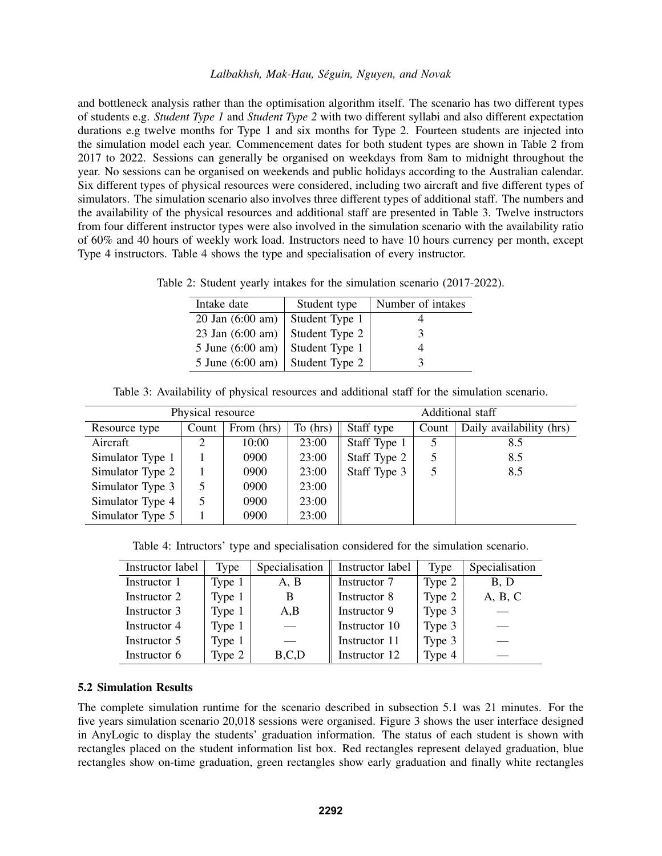and bottleneck analysis rather than the optimisation algorithm itself. The scenario has two different types of students e.g. *Student Type 1* and *Student Type 2* with two different syllabi and also different expectation durations e.g twelve months for Type 1 and six months for Type 2. Fourteen students are injected into the simulation model each year. Commencement dates for both student types are shown in Table 2 from 2017 to 2022. Sessions can generally be organised on weekdays from 8am to midnight throughout the year. No sessions can be organised on weekends and public holidays according to the Australian calendar. Six different types of physical resources were considered, including two aircraft and five different types of simulators. The simulation scenario also involves three different types of additional staff. The numbers and the availability of the physical resources and additional staff are presented in Table 3. Twelve instructors from four different instructor types were also involved in the simulation scenario with the availability ratio of 60% and 40 hours of weekly work load. Instructors need to have 10 hours currency per month, except Type 4 instructors. Table 4 shows the type and specialisation of every instructor.

Table 2: Student yearly intakes for the simulation scenario (2017-2022).

| Intake date                | Student type   | Number of intakes |
|----------------------------|----------------|-------------------|
| $20$ Jan $(6:00$ am)       | Student Type 1 |                   |
| 23 Jan (6:00 am)           | Student Type 2 | 3                 |
| 5 June (6:00 am)           | Student Type 1 |                   |
| 5 June $(6:00 \text{ am})$ | Student Type 2 |                   |

Table 3: Availability of physical resources and additional staff for the simulation scenario.

| Physical resource |       |            |          | Additional staff |       |                          |  |
|-------------------|-------|------------|----------|------------------|-------|--------------------------|--|
| Resource type     | Count | From (hrs) | To (hrs) | Staff type       | Count | Daily availability (hrs) |  |
| Aircraft          |       | 10:00      | 23:00    | Staff Type 1     |       | 8.5                      |  |
| Simulator Type 1  |       | 0900       | 23:00    | Staff Type 2     |       | 8.5                      |  |
| Simulator Type 2  |       | 0900       | 23:00    | Staff Type 3     |       | 8.5                      |  |
| Simulator Type 3  |       | 0900       | 23:00    |                  |       |                          |  |
| Simulator Type 4  |       | 0900       | 23:00    |                  |       |                          |  |
| Simulator Type 5  |       | 0900       | 23:00    |                  |       |                          |  |

Table 4: Intructors' type and specialisation considered for the simulation scenario.

| Instructor label | Type   | Specialisation | Instructor label | <b>Type</b> | Specialisation |
|------------------|--------|----------------|------------------|-------------|----------------|
| Instructor 1     | Type 1 | A, B           | Instructor 7     | Type 2      | B, D           |
| Instructor 2     | Type 1 | B              | Instructor 8     | Type 2      | A, B, C        |
| Instructor 3     | Type 1 | A,B            | Instructor 9     | Type 3      |                |
| Instructor 4     | Type 1 |                | Instructor 10    | Type 3      |                |
| Instructor 5     | Type 1 |                | Instructor 11    | Type 3      |                |
| Instructor 6     | Type 2 | B,C,D          | Instructor 12    | Type 4      |                |

### 5.2 Simulation Results

The complete simulation runtime for the scenario described in subsection 5.1 was 21 minutes. For the five years simulation scenario 20,018 sessions were organised. Figure 3 shows the user interface designed in AnyLogic to display the students' graduation information. The status of each student is shown with rectangles placed on the student information list box. Red rectangles represent delayed graduation, blue rectangles show on-time graduation, green rectangles show early graduation and finally white rectangles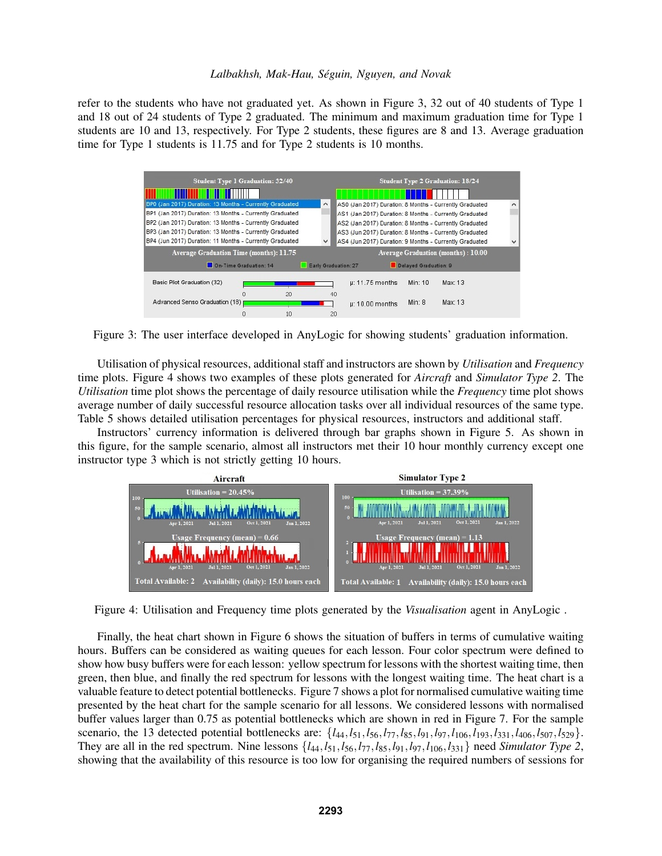refer to the students who have not graduated yet. As shown in Figure 3, 32 out of 40 students of Type 1 and 18 out of 24 students of Type 2 graduated. The minimum and maximum graduation time for Type 1 students are 10 and 13, respectively. For Type 2 students, these figures are 8 and 13. Average graduation time for Type 1 students is 11.75 and for Type 2 students is 10 months.

| <b>Student Type 1 Graduation: 32/40</b>                  |    |                      |                                                         |                       | <b>Student Type 2 Graduation: 18/24</b>   |  |
|----------------------------------------------------------|----|----------------------|---------------------------------------------------------|-----------------------|-------------------------------------------|--|
|                                                          |    |                      |                                                         |                       |                                           |  |
| BP0 (Jan 2017) Duration: 13 Months - Currently Graduated |    | v                    | AS0 (Jan 2017) Duration: 8 Months - Currently Graduated |                       |                                           |  |
| BP1 (Jan 2017) Duration: 13 Months - Currently Graduated |    |                      | AS1 (Jan 2017) Duration: 8 Months - Currently Graduated |                       |                                           |  |
| BP2 (Jan 2017) Duration: 13 Months - Currently Graduated |    |                      | AS2 (Jan 2017) Duration: 8 Months - Currently Graduated |                       |                                           |  |
| BP3 (Jan 2017) Duration: 13 Months - Currently Graduated |    |                      | AS3 (Jun 2017) Duration: 8 Months - Currently Graduated |                       |                                           |  |
| BP4 (Jun 2017) Duration: 11 Months - Currently Graduated |    | $\checkmark$         | AS4 (Jun 2017) Duration: 9 Months - Currently Graduated |                       |                                           |  |
| Average Graduation Time (months): 11.75                  |    |                      |                                                         |                       | <b>Average Graduation (months): 10.00</b> |  |
| On-Time Graduation: 14                                   |    | Early Graduation: 27 |                                                         | Delayed Graduation: 9 |                                           |  |
| Basic Pilot Graduation (32)                              |    |                      | $\mu$ : 11.75 months                                    | Min: 10               | Max: 13                                   |  |
| n                                                        | 20 | 40                   |                                                         |                       |                                           |  |
| Advanced Senso Graduation (18)                           |    |                      | $\mu$ : 10.00 months                                    | Min: 8                | Max: 13                                   |  |
|                                                          | 10 | 20                   |                                                         |                       |                                           |  |

Figure 3: The user interface developed in AnyLogic for showing students' graduation information.

Utilisation of physical resources, additional staff and instructors are shown by *Utilisation* and *Frequency* time plots. Figure 4 shows two examples of these plots generated for *Aircraft* and *Simulator Type 2*. The *Utilisation* time plot shows the percentage of daily resource utilisation while the *Frequency* time plot shows average number of daily successful resource allocation tasks over all individual resources of the same type. Table 5 shows detailed utilisation percentages for physical resources, instructors and additional staff.

Instructors' currency information is delivered through bar graphs shown in Figure 5. As shown in this figure, for the sample scenario, almost all instructors met their 10 hour monthly currency except one instructor type 3 which is not strictly getting 10 hours.



Figure 4: Utilisation and Frequency time plots generated by the *Visualisation* agent in AnyLogic .

Finally, the heat chart shown in Figure 6 shows the situation of buffers in terms of cumulative waiting hours. Buffers can be considered as waiting queues for each lesson. Four color spectrum were defined to show how busy buffers were for each lesson: yellow spectrum for lessons with the shortest waiting time, then green, then blue, and finally the red spectrum for lessons with the longest waiting time. The heat chart is a valuable feature to detect potential bottlenecks. Figure 7 shows a plot for normalised cumulative waiting time presented by the heat chart for the sample scenario for all lessons. We considered lessons with normalised buffer values larger than 0.75 as potential bottlenecks which are shown in red in Figure 7. For the sample scenario, the 13 detected potential bottlenecks are: {*l*44,*l*51,*l*56,*l*77,*l*85,*l*91,*l*97,*l*106,*l*193,*l*331,*l*406,*l*507,*l*529}. They are all in the red spectrum. Nine lessons {*l*44,*l*51,*l*56,*l*77,*l*85,*l*91,*l*97,*l*106,*l*331} need *Simulator Type 2*, showing that the availability of this resource is too low for organising the required numbers of sessions for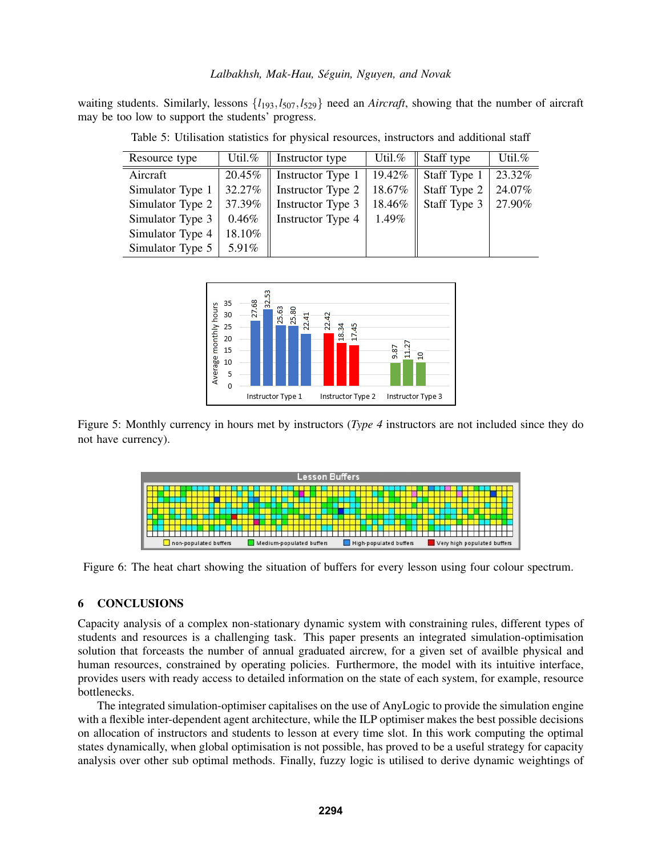waiting students. Similarly, lessons  $\{l_{193}, l_{507}, l_{529}\}$  need an *Aircraft*, showing that the number of aircraft may be too low to support the students' progress.

| Resource type    | Util.%   | Instructor type   | Util.% | Staff type   | Util.% |
|------------------|----------|-------------------|--------|--------------|--------|
| Aircraft         | 20.45%   | Instructor Type 1 | 19.42% | Staff Type 1 | 23.32% |
| Simulator Type 1 | 32.27%   | Instructor Type 2 | 18.67% | Staff Type 2 | 24.07% |
| Simulator Type 2 | 37.39%   | Instructor Type 3 | 18.46% | Staff Type 3 | 27.90% |
| Simulator Type 3 | $0.46\%$ | Instructor Type 4 | 1.49%  |              |        |
| Simulator Type 4 | 18.10%   |                   |        |              |        |
| Simulator Type 5 | 5.91%    |                   |        |              |        |

Table 5: Utilisation statistics for physical resources, instructors and additional staff



Figure 5: Monthly currency in hours met by instructors (*Type 4* instructors are not included since they do not have currency).



Figure 6: The heat chart showing the situation of buffers for every lesson using four colour spectrum.

### 6 CONCLUSIONS

Capacity analysis of a complex non-stationary dynamic system with constraining rules, different types of students and resources is a challenging task. This paper presents an integrated simulation-optimisation solution that forceasts the number of annual graduated aircrew, for a given set of availble physical and human resources, constrained by operating policies. Furthermore, the model with its intuitive interface, provides users with ready access to detailed information on the state of each system, for example, resource bottlenecks.

The integrated simulation-optimiser capitalises on the use of AnyLogic to provide the simulation engine with a flexible inter-dependent agent architecture, while the ILP optimiser makes the best possible decisions on allocation of instructors and students to lesson at every time slot. In this work computing the optimal states dynamically, when global optimisation is not possible, has proved to be a useful strategy for capacity analysis over other sub optimal methods. Finally, fuzzy logic is utilised to derive dynamic weightings of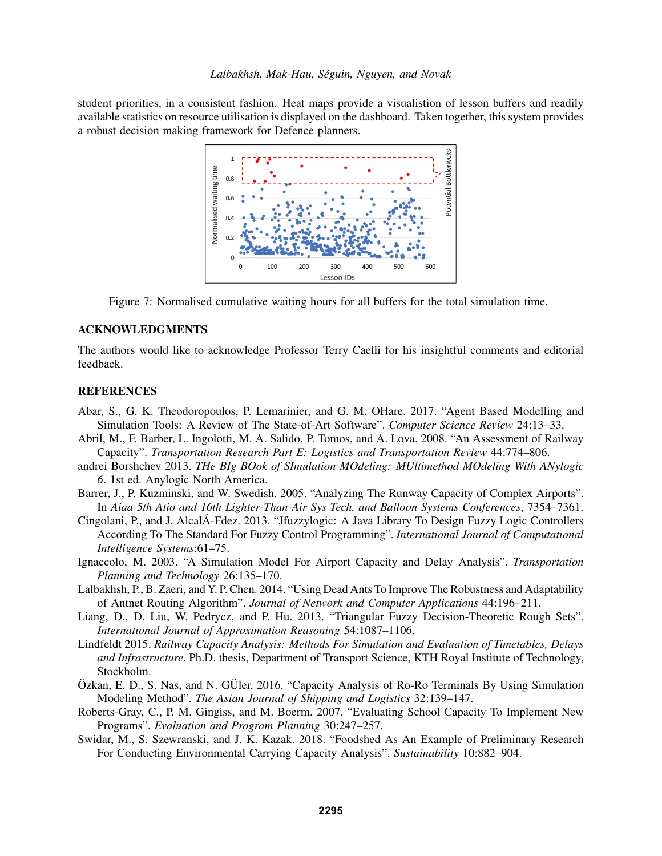student priorities, in a consistent fashion. Heat maps provide a visualistion of lesson buffers and readily available statistics on resource utilisation is displayed on the dashboard. Taken together, this system provides a robust decision making framework for Defence planners.



Figure 7: Normalised cumulative waiting hours for all buffers for the total simulation time.

### ACKNOWLEDGMENTS

The authors would like to acknowledge Professor Terry Caelli for his insightful comments and editorial feedback.

### **REFERENCES**

- Abar, S., G. K. Theodoropoulos, P. Lemarinier, and G. M. OHare. 2017. "Agent Based Modelling and Simulation Tools: A Review of The State-of-Art Software". *Computer Science Review* 24:13–33.
- Abril, M., F. Barber, L. Ingolotti, M. A. Salido, P. Tomos, and A. Lova. 2008. "An Assessment of Railway Capacity". *Transportation Research Part E: Logistics and Transportation Review* 44:774–806.
- andrei Borshchev 2013. *THe BIg BOok of SImulation MOdeling: MUltimethod MOdeling With ANylogic 6*. 1st ed. Anylogic North America.
- Barrer, J., P. Kuzminski, and W. Swedish. 2005. "Analyzing The Runway Capacity of Complex Airports". In *Aiaa 5th Atio and 16th Lighter-Than-Air Sys Tech. and Balloon Systems Conferences*, 7354–7361.
- Cingolani, P., and J. AlcalÁ-Fdez. 2013. "Jfuzzylogic: A Java Library To Design Fuzzy Logic Controllers According To The Standard For Fuzzy Control Programming". *International Journal of Computational Intelligence Systems*:61–75.
- Ignaccolo, M. 2003. "A Simulation Model For Airport Capacity and Delay Analysis". *Transportation Planning and Technology* 26:135–170.
- Lalbakhsh, P., B. Zaeri, and Y. P. Chen. 2014. "Using Dead Ants To Improve The Robustness and Adaptability of Antnet Routing Algorithm". *Journal of Network and Computer Applications* 44:196–211.
- Liang, D., D. Liu, W. Pedrycz, and P. Hu. 2013. "Triangular Fuzzy Decision-Theoretic Rough Sets". *International Journal of Approximation Reasoning* 54:1087–1106.
- Lindfeldt 2015. *Railway Capacity Analysis: Methods For Simulation and Evaluation of Timetables, Delays and Infrastructure*. Ph.D. thesis, Department of Transport Science, KTH Royal Institute of Technology, Stockholm.
- $Oz$ kan, E. D., S. Nas, and N. GÜler. 2016. "Capacity Analysis of Ro-Ro Terminals By Using Simulation Modeling Method". *The Asian Journal of Shipping and Logistics* 32:139–147.
- Roberts-Gray, C., P. M. Gingiss, and M. Boerm. 2007. "Evaluating School Capacity To Implement New Programs". *Evaluation and Program Planning* 30:247–257.
- Swidar, M., S. Szewranski, and J. K. Kazak. 2018. "Foodshed As An Example of Preliminary Research For Conducting Environmental Carrying Capacity Analysis". *Sustainability* 10:882–904.